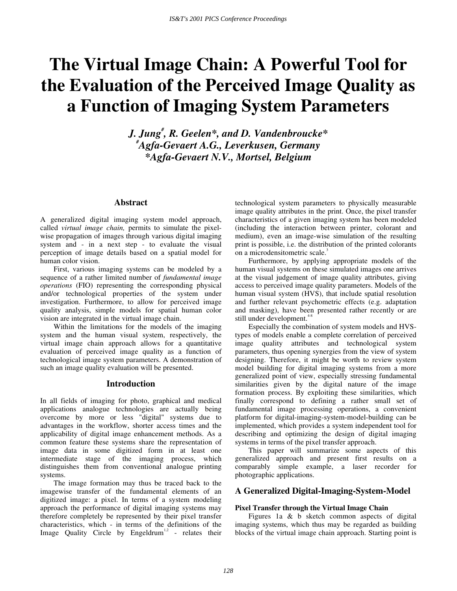# **The Virtual Image Chain: A Powerful Tool for the Evaluation of the Perceived Image Quality as a Function of Imaging System Parameters**

*J. Jung# , R. Geelen\*, and D. Vandenbroucke\* # Agfa-Gevaert A.G., Leverkusen, Germany \*Agfa-Gevaert N.V., Mortsel, Belgium* 

## **Abstract**

A generalized digital imaging system model approach, called *virtual image chain,* permits to simulate the pixelwise propagation of images through various digital imaging system and - in a next step - to evaluate the visual perception of image details based on a spatial model for human color vision.

First, various imaging systems can be modeled by a sequence of a rather limited number of *fundamental image operations* (FIO) representing the corresponding physical and/or technological properties of the system under investigation. Furthermore, to allow for perceived image quality analysis, simple models for spatial human color vision are integrated in the virtual image chain.

Within the limitations for the models of the imaging system and the human visual system, respectively, the virtual image chain approach allows for a quantitative evaluation of perceived image quality as a function of technological image system parameters. A demonstration of such an image quality evaluation will be presented.

#### **Introduction**

In all fields of imaging for photo, graphical and medical applications analogue technologies are actually being overcome by more or less "digital" systems due to advantages in the workflow, shorter access times and the applicability of digital image enhancement methods. As a common feature these systems share the representation of image data in some digitized form in at least one intermediate stage of the imaging process, which distinguishes them from conventional analogue printing systems.

The image formation may thus be traced back to the imagewise transfer of the fundamental elements of an digitized image: a pixel. In terms of a system modeling approach the performance of digital imaging systems may therefore completely be represented by their pixel transfer characteristics, which - in terms of the definitions of the Image Quality Circle by Engeldrum<sup>1,2</sup> - relates their technological system parameters to physically measurable image quality attributes in the print. Once, the pixel transfer characteristics of a given imaging system has been modeled (including the interaction between printer, colorant and medium), even an image-wise simulation of the resulting print is possible, i.e. the distribution of the printed colorants on a microdensitometric scale.<sup>3</sup>

Furthermore, by applying appropriate models of the human visual systems on these simulated images one arrives at the visual judgement of image quality attributes, giving access to perceived image quality parameters. Models of the human visual system (HVS), that include spatial resolution and further relevant psychometric effects (e.g. adaptation and masking), have been presented rather recently or are still under development.<sup>4-8</sup>

Especially the combination of system models and HVStypes of models enable a complete correlation of perceived image quality attributes and technological system parameters, thus opening synergies from the view of system designing. Therefore, it might be worth to review system model building for digital imaging systems from a more generalized point of view, especially stressing fundamental similarities given by the digital nature of the image formation process. By exploiting these similarities, which finally correspond to defining a rather small set of fundamental image processing operations, a convenient platform for digital-imaging-system-model-building can be implemented, which provides a system independent tool for describing and optimizing the design of digital imaging systems in terms of the pixel transfer approach.

This paper will summarize some aspects of this generalized approach and present first results on a comparably simple example, a laser recorder for photographic applications.

# **A Generalized Digital-Imaging-System-Model**

#### **Pixel Transfer through the Virtual Image Chain**

Figures 1a & b sketch common aspects of digital imaging systems, which thus may be regarded as building blocks of the virtual image chain approach. Starting point is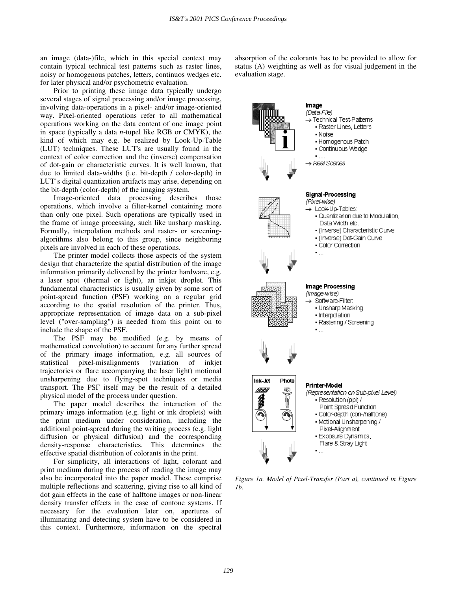an image (data-)file, which in this special context may contain typical technical test patterns such as raster lines, noisy or homogenous patches, letters, continuos wedges etc. for later physical and/or psychometric evaluation.

Prior to printing these image data typically undergo several stages of signal processing and/or image processing, involving data-operations in a pixel- and/or image-oriented way. Pixel-oriented operations refer to all mathematical operations working on the data content of one image point in space (typically a data *n*-tupel like RGB or CMYK), the kind of which may e.g. be realized by Look-Up-Table (LUT) techniques. These LUT's are usually found in the context of color correction and the (inverse) compensation of dot-gain or characteristic curves. It is well known, that due to limited data-widths (i.e. bit-depth / color-depth) in LUT`s digital quantization artifacts may arise, depending on the bit-depth (color-depth) of the imaging system.

Image-oriented data processing describes those operations, which involve a filter-kernel containing more than only one pixel. Such operations are typically used in the frame of image processing, such like unsharp masking. Formally, interpolation methods and raster- or screeningalgorithms also belong to this group, since neighboring pixels are involved in each of these operations.

The printer model collects those aspects of the system design that characterize the spatial distribution of the image information primarily delivered by the printer hardware, e.g. a laser spot (thermal or light), an inkjet droplet. This fundamental characteristics is usually given by some sort of point-spread function (PSF) working on a regular grid according to the spatial resolution of the printer. Thus, appropriate representation of image data on a sub-pixel level ("over-sampling") is needed from this point on to include the shape of the PSF.

The PSF may be modified (e.g. by means of mathematical convolution) to account for any further spread of the primary image information, e.g. all sources of statistical pixel-misalignments (variation of inkjet trajectories or flare accompanying the laser light) motional unsharpening due to flying-spot techniques or media transport. The PSF itself may be the result of a detailed physical model of the process under question.

The paper model describes the interaction of the primary image information (e.g. light or ink droplets) with the print medium under consideration, including the additional point-spread during the writing process (e.g. light diffusion or physical diffusion) and the corresponding density-response characteristics. This determines the effective spatial distribution of colorants in the print.

For simplicity, all interactions of light, colorant and print medium during the process of reading the image may also be incorporated into the paper model. These comprise multiple reflections and scattering, giving rise to all kind of dot gain effects in the case of halftone images or non-linear density transfer effects in the case of contone systems. If necessary for the evaluation later on, apertures of illuminating and detecting system have to be considered in this context. Furthermore, information on the spectral absorption of the colorants has to be provided to allow for status (A) weighting as well as for visual judgement in the evaluation stage.



*Figure 1a. Model of Pixel-Transfer (Part a), continued in Figure 1b.*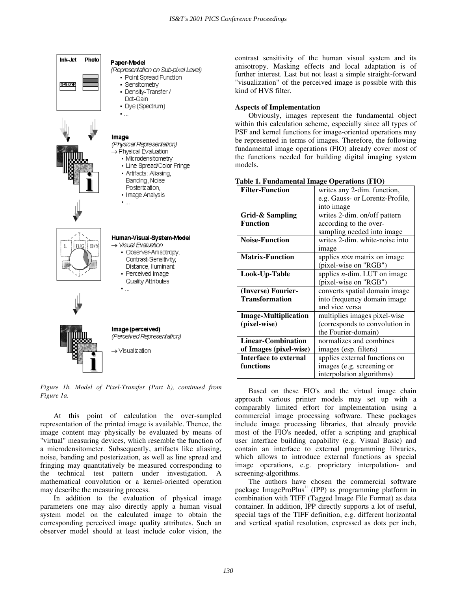



## · Perceived Image Quality Attributes

Image (perceived) (Perceived Representation)

→ Visualization

 $\blacksquare$ 

#### *Figure 1b. Model of Pixel-Transfer (Part b), continued from Figure 1a.*

At this point of calculation the over-sampled representation of the printed image is available. Thence, the image content may physically be evaluated by means of "virtual" measuring devices, which resemble the function of a microdensitometer. Subsequently, artifacts like aliasing, noise, banding and posterization, as well as line spread and fringing may quantitatively be measured corresponding to the technical test pattern under investigation. A mathematical convolution or a kernel-oriented operation may describe the measuring process.

In addition to the evaluation of physical image parameters one may also directly apply a human visual system model on the calculated image to obtain the corresponding perceived image quality attributes. Such an observer model should at least include color vision, the

contrast sensitivity of the human visual system and its anisotropy. Masking effects and local adaptation is of further interest. Last but not least a simple straight-forward "visualization" of the perceived image is possible with this kind of HVS filter.

#### **Aspects of Implementation**

Obviously, images represent the fundamental object within this calculation scheme, especially since all types of PSF and kernel functions for image-oriented operations may be represented in terms of images. Therefore, the following fundamental image operations (FIO) already cover most of the functions needed for building digital imaging system models.

| rabie 1. Fundamentar miage Operations (FTO) |                                      |
|---------------------------------------------|--------------------------------------|
| <b>Filter-Function</b>                      | writes any 2-dim. function,          |
|                                             | e.g. Gauss- or Lorentz-Profile,      |
|                                             | into image                           |
| Grid-& Sampling                             | writes 2-dim. on/off pattern         |
| <b>Function</b>                             | according to the over-               |
|                                             | sampling needed into image           |
| <b>Noise-Function</b>                       | writes 2-dim. white-noise into       |
|                                             | image                                |
| <b>Matrix-Function</b>                      | applies $n \times n$ matrix on image |
|                                             | (pixel-wise on "RGB")                |
| Look-Up-Table                               | applies $n$ -dim. LUT on image       |
|                                             | (pixel-wise on "RGB")                |
| (Inverse) Fourier-                          | converts spatial domain image        |
| <b>Transformation</b>                       | into frequency domain image          |
|                                             | and vice versa                       |
| <b>Image-Multiplication</b>                 | multiplies images pixel-wise         |
| (pixel-wise)                                | (corresponds to convolution in       |
|                                             | the Fourier-domain)                  |
| <b>Linear-Combination</b>                   | normalizes and combines              |
| of Images (pixel-wise)                      | images (esp. filters)                |
| <b>Interface to external</b>                | applies external functions on        |
| functions                                   | images (e.g. screening or            |
|                                             | interpolation algorithms)            |

## **Table 1. Fundamental Image Operations (FIO)**

Based on these FIO's and the virtual image chain approach various printer models may set up with a comparably limited effort for implementation using a commercial image processing software. These packages include image processing libraries, that already provide most of the FIO's needed, offer a scripting and graphical user interface building capability (e.g. Visual Basic) and contain an interface to external programming libraries, which allows to introduce external functions as special image operations, e.g. proprietary interpolation- and screening-algorithms.

The authors have chosen the commercial software package ImageProPlus<sup>11</sup> (IPP) as programming platform in combination with TIFF (Tagged Image File Format) as data container. In addition, IPP directly supports a lot of useful, special tags of the TIFF definition, e.g. different horizontal and vertical spatial resolution, expressed as dots per inch,